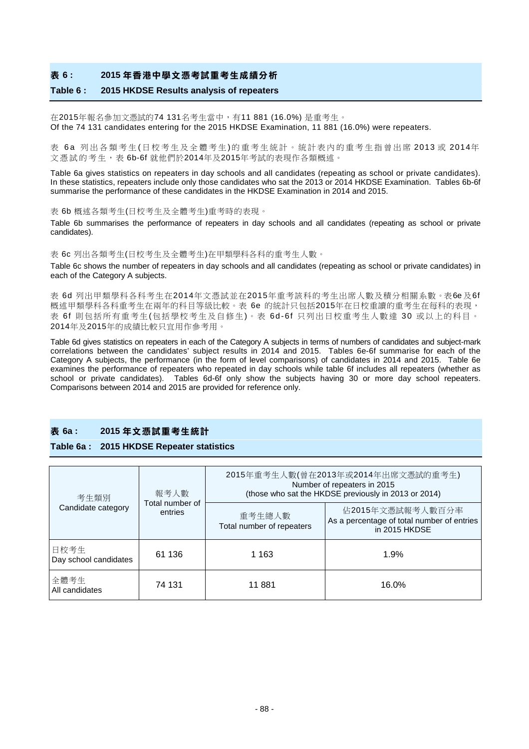#### **表 6 : 2015 年香港中學文憑考試重考生成績分析**

#### **Table 6 : 2015 HKDSE Results analysis of repeaters**

在2015年報名參加文憑試的74 131名考生當中,有11 881 (16.0%) 是重考生。 Of the 74 131 candidates entering for the 2015 HKDSE Examination, 11 881 (16.0%) were repeaters.

表 6a 列出各類考生(日校考生及全體考生)的重考生統計。統計表内的重考生指曾出席 2013 或 2014年 文憑試 的 考 生,表 6b-6f 就他們於2014年及2015年考試的表現作各類概述。

Table 6a gives statistics on repeaters in day schools and all candidates (repeating as school or private candidates). In these statistics, repeaters include only those candidates who sat the 2013 or 2014 HKDSE Examination. Tables 6b-6f summarise the performance of these candidates in the HKDSE Examination in 2014 and 2015.

表 6b 概述各類考生(日校考生及全體考生)重考時的表現。

Table 6b summarises the performance of repeaters in day schools and all candidates (repeating as school or private candidates).

表 6c 列出各類考生(日校考生及全體考生)在甲類學科各科的重考生人數。

Table 6c shows the number of repeaters in day schools and all candidates (repeating as school or private candidates) in each of the Category A subjects.

表 6d 列出甲類學科各科考生在2014年文憑試並在2015年重考該科的考生出席人數及積分相關系數。表6e 及6f 概述甲類學科各科重考生在兩年的科目等級比較。表 6e 的統計只包括2015年在日校重讀的重考生在每科的表現, 表 6f 則包括所有重考生(包括學校考生及自修生)。表 6d-6f 只列出日校重考生人數達 30 或以上的科目。 2014年及2015年的成績比較只宜用作參考用。

Table 6d gives statistics on repeaters in each of the Category A subjects in terms of numbers of candidates and subject-mark correlations between the candidates' subject results in 2014 and 2015. Tables 6e-6f summarise for each of the Category A subjects, the performance (in the form of level comparisons) of candidates in 2014 and 2015. Table 6e examines the performance of repeaters who repeated in day schools while table 6f includes all repeaters (whether as school or private candidates). Tables 6d-6f only show the subjects having 30 or more day school repeaters. Comparisons between 2014 and 2015 are provided for reference only.

#### **表 6a : 2015 年文憑試重考生統計**

#### **Table 6a : 2015 HKDSE Repeater statistics**

| 考生類別<br>Candidate category    | 報考人數<br>Total number of<br>entries | 2015年重考生人數(曾在2013年或2014年出席文憑試的重考生)<br>Number of repeaters in 2015<br>(those who sat the HKDSE previously in 2013 or 2014) |                                                                                 |  |  |  |  |  |
|-------------------------------|------------------------------------|---------------------------------------------------------------------------------------------------------------------------|---------------------------------------------------------------------------------|--|--|--|--|--|
|                               |                                    | 重考生總人數<br>Total number of repeaters                                                                                       | 佔2015年文憑試報考人數百分率<br>As a percentage of total number of entries<br>in 2015 HKDSE |  |  |  |  |  |
| 日校考生<br>Day school candidates | 61 136                             | 1 1 6 3                                                                                                                   | 1.9%                                                                            |  |  |  |  |  |
| 全體考生<br>All candidates        | 74 131                             | 11 881                                                                                                                    | 16.0%                                                                           |  |  |  |  |  |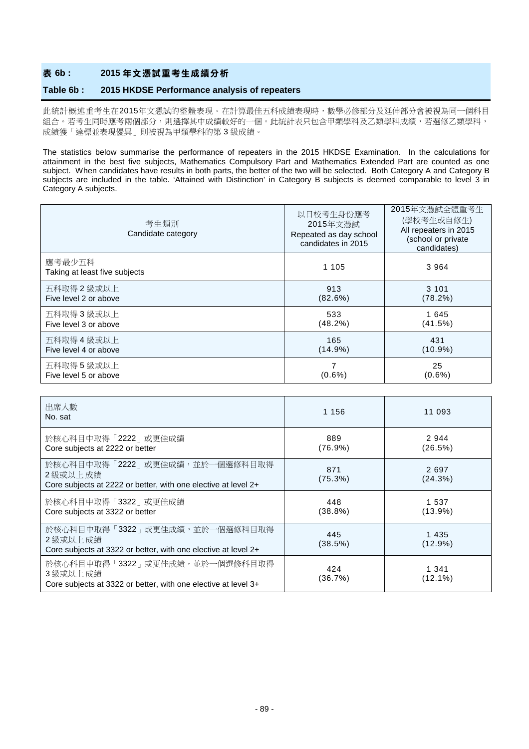# **表 6b : 2015 年文憑試重考生成績分析**

#### **Table 6b : 2015 HKDSE Performance analysis of repeaters**

此統計概述重考生在2015年文憑試的整體表現。在計算最佳五科成績表現時,數學必修部分及延伸部分會被視為同一個科目 組合。若考生同時應考兩個部分,則選擇其中成績較好的一個。此統計表只包含甲類學科及乙類學科成績,若選修乙類學科, 成績獲「達標並表現優異」則被視為甲類學科的第 3 級成績。

The statistics below summarise the performance of repeaters in the 2015 HKDSE Examination. In the calculations for attainment in the best five subjects, Mathematics Compulsory Part and Mathematics Extended Part are counted as one subject. When candidates have results in both parts, the better of the two will be selected. Both Category A and Category B subjects are included in the table. 'Attained with Distinction' in Category B subjects is deemed comparable to level 3 in Category A subjects.

| 考生類別<br>Candidate category              | 以日校考生身份應考<br>2015年文憑試<br>Repeated as day school<br>candidates in 2015 | 2015年文憑試全體重考生<br>(學校考生或自修生)<br>All repeaters in 2015<br>(school or private<br>candidates) |
|-----------------------------------------|-----------------------------------------------------------------------|-------------------------------------------------------------------------------------------|
| 應考最少五科<br>Taking at least five subjects | 1 1 0 5                                                               | 3 9 6 4                                                                                   |
| 五科取得 2 級或以上                             | 913                                                                   | 3 1 0 1                                                                                   |
| Five level 2 or above                   | (82.6%)                                                               | (78.2%)                                                                                   |
| 五科取得 3 級或以上                             | 533                                                                   | 1 645                                                                                     |
| Five level 3 or above                   | (48.2%)                                                               | (41.5%)                                                                                   |
| 五科取得 4 級或以上                             | 165                                                                   | 431                                                                                       |
| Five level 4 or above                   | $(14.9\%)$                                                            | $(10.9\%)$                                                                                |
| 五科取得5級或以上                               | 7                                                                     | 25                                                                                        |
| Five level 5 or above                   | $(0.6\%)$                                                             | $(0.6\%)$                                                                                 |

| 出席人數<br>No. sat                                                                                               | 1 156             | 11 093              |
|---------------------------------------------------------------------------------------------------------------|-------------------|---------------------|
| 於核心科目中取得「2222」或更佳成績<br>Core subjects at 2222 or better                                                        | 889<br>$(76.9\%)$ | 2944<br>(26.5%)     |
| 於核心科目中取得「2222」或更佳成績,並於一個選修科目取得<br>2 級或以上 成績<br>Core subjects at 2222 or better, with one elective at level 2+ | 871<br>(75.3%)    | 2 6 9 7<br>(24.3%)  |
| 於核心科目中取得「3322」或更佳成績<br>Core subjects at 3322 or better                                                        | 448<br>(38.8%)    | 1 537<br>$(13.9\%)$ |
| 於核心科目中取得「3322」或更佳成績,並於一個選修科目取得<br>2級或以上成績<br>Core subjects at 3322 or better, with one elective at level 2+   | 445<br>(38.5%)    | 1435<br>$(12.9\%)$  |
| 於核心科目中取得「3322」或更佳成績,並於一個選修科目取得<br>3 級或以上成績<br>Core subjects at 3322 or better, with one elective at level 3+  | 424<br>(36.7%)    | 1 341<br>$(12.1\%)$ |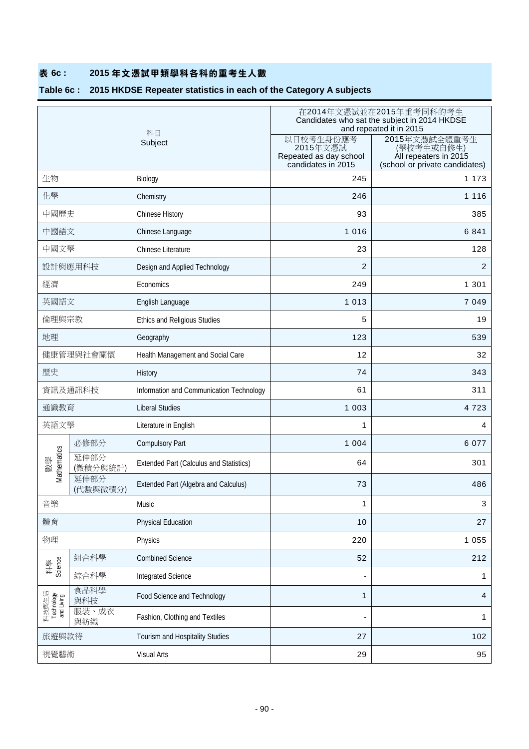# **表 6c : 2015 年文憑試甲類學科各科的重考生人數**

# **Table 6c : 2015 HKDSE Repeater statistics in each of the Category A subjects**

|                                   |                  |                                                |                                                                       | 在2014年文憑試並在2015年重考同科的考生<br>Candidates who sat the subject in 2014 HKDSE<br>and repeated it in 2015 |  |
|-----------------------------------|------------------|------------------------------------------------|-----------------------------------------------------------------------|----------------------------------------------------------------------------------------------------|--|
|                                   |                  | 科目<br>Subject                                  | 以日校考生身份應考<br>2015年文憑試<br>Repeated as day school<br>candidates in 2015 | 2015年文憑試全體重考生<br>(學校考生或自修生)<br>All repeaters in 2015<br>(school or private candidates)             |  |
| 生物                                |                  | Biology                                        | 245                                                                   | 1 1 7 3                                                                                            |  |
| 化學                                |                  | Chemistry                                      | 246                                                                   | 1 1 1 6                                                                                            |  |
| 中國歷史                              |                  | Chinese History                                | 93                                                                    | 385                                                                                                |  |
| 中國語文                              |                  | Chinese Language                               | 1 0 1 6                                                               | 6 8 4 1                                                                                            |  |
| 中國文學                              |                  | <b>Chinese Literature</b>                      | 23                                                                    | 128                                                                                                |  |
|                                   | 設計與應用科技          | Design and Applied Technology                  | $\overline{2}$                                                        | $\overline{2}$                                                                                     |  |
| 經濟                                |                  | Economics                                      | 249                                                                   | 1 3 0 1                                                                                            |  |
| 英國語文                              |                  | English Language                               | 1 0 1 3                                                               | 7 0 4 9                                                                                            |  |
| 倫理與宗教                             |                  | Ethics and Religious Studies                   | 5                                                                     | 19                                                                                                 |  |
| 地理                                |                  | Geography                                      | 123                                                                   | 539                                                                                                |  |
| 健康管理與社會關懷                         |                  | Health Management and Social Care              | 12                                                                    | 32                                                                                                 |  |
| 歷史                                |                  | History                                        | 74                                                                    | 343                                                                                                |  |
|                                   | 資訊及通訊科技          | Information and Communication Technology       | 61                                                                    | 311                                                                                                |  |
| 通識教育                              |                  | <b>Liberal Studies</b>                         | 1 0 0 3                                                               | 4 7 2 3                                                                                            |  |
| 英語文學                              |                  | Literature in English                          | 1                                                                     | 4                                                                                                  |  |
|                                   | 必修部分             | <b>Compulsory Part</b>                         | 1 0 0 4                                                               | 6 0 7 7                                                                                            |  |
| Vlathematics<br>數學                | 延伸部分<br>(微積分與統計) | <b>Extended Part (Calculus and Statistics)</b> | 64                                                                    | 301                                                                                                |  |
|                                   | 延伸部分<br>(代數與微積分) | Extended Part (Algebra and Calculus)           | 73                                                                    | 486                                                                                                |  |
| 音樂                                |                  | Music                                          | 1                                                                     | 3                                                                                                  |  |
| 體育                                |                  | <b>Physical Education</b>                      | 10                                                                    | 27                                                                                                 |  |
| 物理                                |                  | Physics                                        | 220                                                                   | 1 0 5 5                                                                                            |  |
|                                   | 組合科學             | <b>Combined Science</b>                        | 52                                                                    | 212                                                                                                |  |
| Science<br>科學                     | 綜合科學             | Integrated Science                             |                                                                       | 1                                                                                                  |  |
| 科技與生活<br>Technology<br>and Living | 食品科學<br>與科技      | Food Science and Technology                    | 1                                                                     | 4                                                                                                  |  |
|                                   | 服裝、成衣<br>與紡織     | Fashion, Clothing and Textiles                 | ٠                                                                     | 1                                                                                                  |  |
| 旅遊與款待                             |                  | Tourism and Hospitality Studies                | 27                                                                    | 102                                                                                                |  |
| 視覺藝術                              |                  | Visual Arts                                    | 29                                                                    | 95                                                                                                 |  |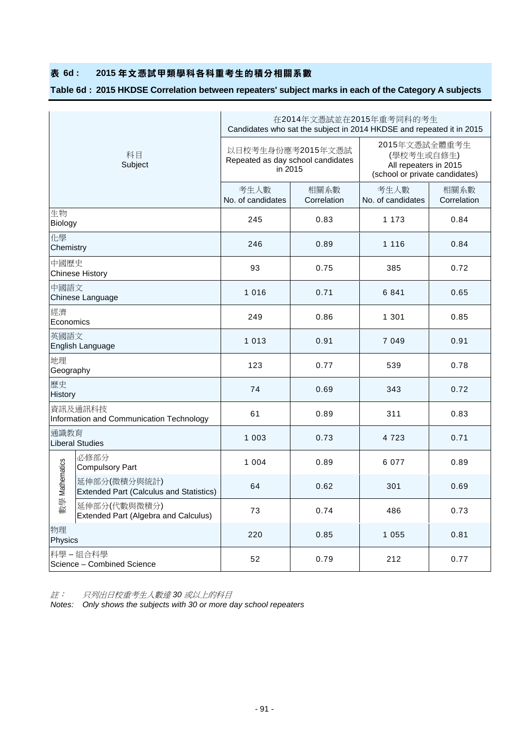# **表 6d : 2015 年文憑試甲類學科各科重考生的積分相關系數**

# **Table 6d : 2015 HKDSE Correlation between repeaters' subject marks in each of the Category A subjects**

|                 |                                                                |                                                                   |                     | 在2014年文憑試並在2015年重考同科的考生<br>Candidates who sat the subject in 2014 HKDSE and repeated it in 2015 |                     |  |
|-----------------|----------------------------------------------------------------|-------------------------------------------------------------------|---------------------|-------------------------------------------------------------------------------------------------|---------------------|--|
|                 | 科目<br>Subject                                                  | 以日校考生身份應考2015年文憑試<br>Repeated as day school candidates<br>in 2015 |                     | 2015年文憑試全體重考生<br>(學校考生或自修生)<br>All repeaters in 2015<br>(school or private candidates)          |                     |  |
|                 |                                                                | 考生人數<br>No. of candidates                                         | 相關系數<br>Correlation | 考生人數<br>No. of candidates                                                                       | 相關系數<br>Correlation |  |
| 生物<br>Biology   |                                                                | 245                                                               | 0.83                | 1 173                                                                                           | 0.84                |  |
| 化學<br>Chemistry |                                                                | 246                                                               | 0.89                | 1 1 1 6                                                                                         | 0.84                |  |
| 中國歷史            | <b>Chinese History</b>                                         | 93                                                                | 0.75                | 385                                                                                             | 0.72                |  |
| 中國語文            | Chinese Language                                               | 1 0 1 6                                                           | 0.71                | 6841                                                                                            | 0.65                |  |
| 經濟<br>Economics |                                                                | 249<br>0.86                                                       |                     | 1 3 0 1                                                                                         | 0.85                |  |
| 英國語文            | English Language                                               | 1 0 1 3                                                           | 0.91                | 7 0 4 9                                                                                         | 0.91                |  |
| 地理<br>Geography |                                                                | 123                                                               | 0.77                | 539                                                                                             | 0.78                |  |
| 歷史<br>History   |                                                                | 74                                                                | 0.69                | 343                                                                                             | 0.72                |  |
|                 | 資訊及通訊科技<br>Information and Communication Technology            | 61                                                                | 0.89                | 311                                                                                             | 0.83                |  |
| 通識教育            | <b>Liberal Studies</b>                                         | 1 0 0 3                                                           | 0.73                | 4 7 2 3                                                                                         | 0.71                |  |
|                 | 必修部分<br><b>Compulsory Part</b>                                 | 1 0 0 4                                                           | 0.89                | 6 0 7 7                                                                                         | 0.89                |  |
| 數學 Mathematics  | 延伸部分(微積分與統計)<br><b>Extended Part (Calculus and Statistics)</b> | 64                                                                | 0.62                | 301                                                                                             | 0.69                |  |
|                 | 延伸部分(代數與微積分)<br>Extended Part (Algebra and Calculus)           | 73                                                                | 0.74                | 486                                                                                             | 0.73                |  |
| 物理<br>Physics   |                                                                | 220                                                               | 0.85                | 1 0 5 5                                                                                         | 0.81                |  |
|                 | 科學-組合科學<br>Science - Combined Science                          | 52                                                                | 0.79                | 212                                                                                             | 0.77                |  |

註: 只列出日校重考生人數達 *30* 或以上的科目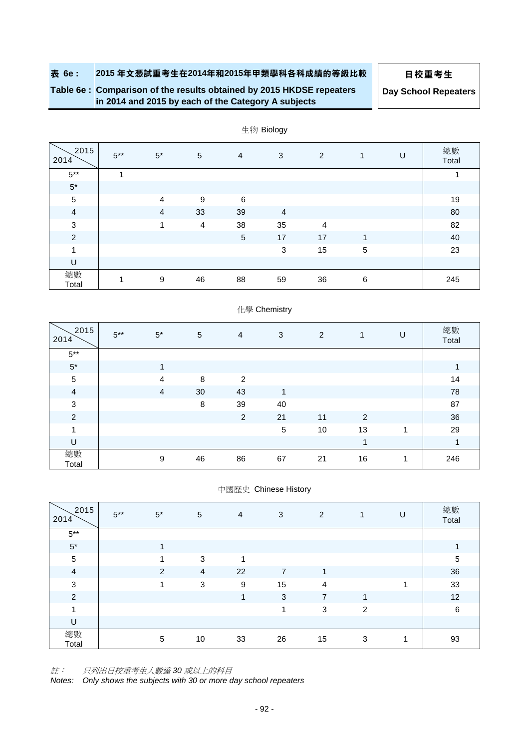**Table 6e : Comparison of the results obtained by 2015 HKDSE repeaters in 2014 and 2015 by each of the Category A subjects**

**Day School Repeaters**

| 2015<br>2014   | $5***$         | $5^*$          | $\sqrt{5}$ | $\overline{4}$  | 3              | $\overline{2}$ | 1 | U | 總數<br>Total |
|----------------|----------------|----------------|------------|-----------------|----------------|----------------|---|---|-------------|
| $5***$         | $\overline{A}$ |                |            |                 |                |                |   |   |             |
| $5^\star$      |                |                |            |                 |                |                |   |   |             |
| $\sqrt{5}$     |                | $\overline{4}$ | 9          | 6               |                |                |   |   | 19          |
| $\overline{a}$ |                | $\overline{4}$ | 33         | 39              | $\overline{4}$ |                |   |   | 80          |
| $\mathbf{3}$   |                |                | 4          | 38              | 35             | 4              |   |   | 82          |
| $\overline{2}$ |                |                |            | $5\phantom{.0}$ | 17             | 17             | 4 |   | 40          |
| 1              |                |                |            |                 | 3              | 15             | 5 |   | 23          |
| U              |                |                |            |                 |                |                |   |   |             |
| 總數<br>Total    |                | 9              | 46         | 88              | 59             | 36             | 6 |   | 245         |

生物 Biology

# 化學 Chemistry

| 2015<br>2014   | $5***$ | $5*$           | $\sqrt{5}$ | 4              | 3          | $\overline{2}$ | 1  | U | 總數<br>Total |
|----------------|--------|----------------|------------|----------------|------------|----------------|----|---|-------------|
| $5***$         |        |                |            |                |            |                |    |   |             |
| $5^{\star}$    |        | 1              |            |                |            |                |    |   | 1           |
| $\sqrt{5}$     |        | $\overline{4}$ | 8          | 2              |            |                |    |   | 14          |
| $\overline{4}$ |        | $\overline{4}$ | 30         | 43             | 1          |                |    |   | 78          |
| $\sqrt{3}$     |        |                | 8          | 39             | 40         |                |    |   | 87          |
| $\overline{c}$ |        |                |            | $\overline{2}$ | 21         | 11             | 2  |   | 36          |
| 1              |        |                |            |                | $\sqrt{5}$ | 10             | 13 |   | 29          |
| U              |        |                |            |                |            |                | 1  |   | 1           |
| 總數<br>Total    |        | 9              | 46         | 86             | 67         | 21             | 16 |   | 246         |

#### 中國歷史 Chinese History

| 2015<br>2014   | $5***$ | $5*$           | 5              | $\overline{4}$   | 3              | 2              | 1 | U | 總數<br>Total    |
|----------------|--------|----------------|----------------|------------------|----------------|----------------|---|---|----------------|
| $5***$         |        |                |                |                  |                |                |   |   |                |
| $5^\star$      |        | $\overline{ }$ |                |                  |                |                |   |   | 1              |
| $\sqrt{5}$     |        |                | 3              | 1                |                |                |   |   | $\overline{5}$ |
| $\overline{4}$ |        | 2              | $\overline{4}$ | 22               | $\overline{7}$ | 1              |   |   | 36             |
| 3              |        | и              | 3              | $\boldsymbol{9}$ | 15             | $\overline{4}$ |   | и | 33             |
| $\overline{c}$ |        |                |                | 1                | 3              | $\overline{7}$ | 1 |   | 12             |
| 1              |        |                |                |                  | 4              | 3              | 2 |   | $\,6\,$        |
| U              |        |                |                |                  |                |                |   |   |                |
| 總數<br>Total    |        | 5              | 10             | 33               | 26             | 15             | 3 | 1 | 93             |

註: 只列出日校重考生人數達 *30* 或以上的科目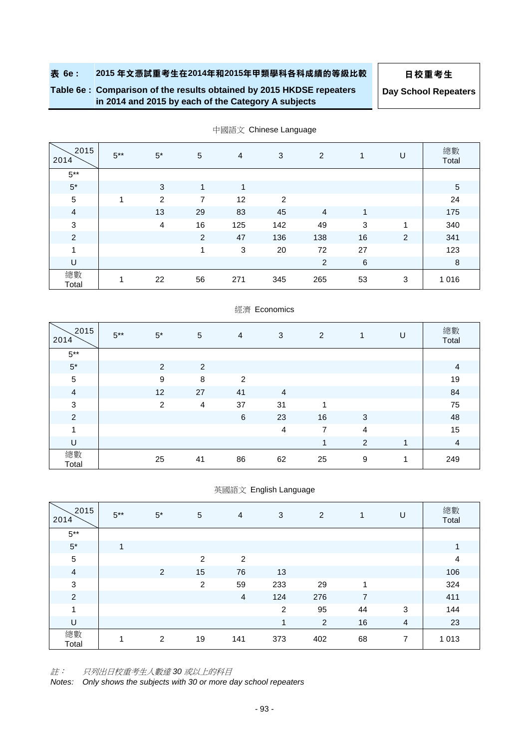# **Table 6e : Comparison of the results obtained by 2015 HKDSE repeaters in 2014 and 2015 by each of the Category A subjects**

**Day School Repeaters**

| 2015<br>2014   | $5***$ | $5*$           | $\sqrt{5}$ | $\overline{4}$ | 3   | 2              | $\mathbf{1}$ | U              | 總數<br>Total |
|----------------|--------|----------------|------------|----------------|-----|----------------|--------------|----------------|-------------|
| $5***$         |        |                |            |                |     |                |              |                |             |
| $5*$           |        | 3              | 1          | 1              |     |                |              |                | 5           |
| $\sqrt{5}$     | 1      | 2              | 7          | 12             | 2   |                |              |                | 24          |
| $\overline{a}$ |        | 13             | 29         | 83             | 45  | $\overline{4}$ | 1            |                | 175         |
| $\sqrt{3}$     |        | $\overline{4}$ | 16         | 125            | 142 | 49             | 3            | 1              | 340         |
| $\overline{2}$ |        |                | 2          | 47             | 136 | 138            | 16           | $\overline{c}$ | 341         |
| 1              |        |                | 1          | 3              | 20  | 72             | 27           |                | 123         |
| U              |        |                |            |                |     | $\overline{2}$ | 6            |                | 8           |
| 總數<br>Total    | 1      | 22             | 56         | 271            | 345 | 265            | 53           | 3              | 1 0 1 6     |

中國語文 Chinese Language

# 2015 <sup>2014</sup> 5\*\* 5\* <sup>5</sup> <sup>4</sup> <sup>3</sup> <sup>2</sup> <sup>1</sup> <sup>U</sup> 總數 Total  $5***$ 5\* 2 2 4 5 | 9 8 2 | 19 4 12 27 41 4 84 3 2 4 37 31 1 75 2 6 23 16 3 48 1 | 15 U | 4 總數 ್ಲಿಮ್ಸ್ | 25 41 86 62 25 9 1 249<br>Total | 249

經濟 Economics

英國語文 English Language

| 2015<br>2014   | $5***$         | $5*$ | 5  | $\overline{4}$ | 3              | $\overline{2}$ | 1              | U | 總數<br>Total    |
|----------------|----------------|------|----|----------------|----------------|----------------|----------------|---|----------------|
| $5***$         |                |      |    |                |                |                |                |   |                |
| $5^\star$      | $\overline{1}$ |      |    |                |                |                |                |   | 1              |
| $\sqrt{5}$     |                |      | 2  | 2              |                |                |                |   | $\overline{4}$ |
| $\overline{4}$ |                | 2    | 15 | 76             | 13             |                |                |   | 106            |
| $\sqrt{3}$     |                |      | 2  | 59             | 233            | 29             | 1              |   | 324            |
| $\overline{2}$ |                |      |    | $\overline{4}$ | 124            | 276            | $\overline{7}$ |   | 411            |
| 1              |                |      |    |                | $\overline{2}$ | 95             | 44             | 3 | 144            |
| U              |                |      |    |                | 1              | $\overline{2}$ | 16             | 4 | 23             |
| 總數<br>Total    |                | 2    | 19 | 141            | 373            | 402            | 68             | 7 | 1 0 1 3        |

註: 只列出日校重考生人數達 *30* 或以上的科目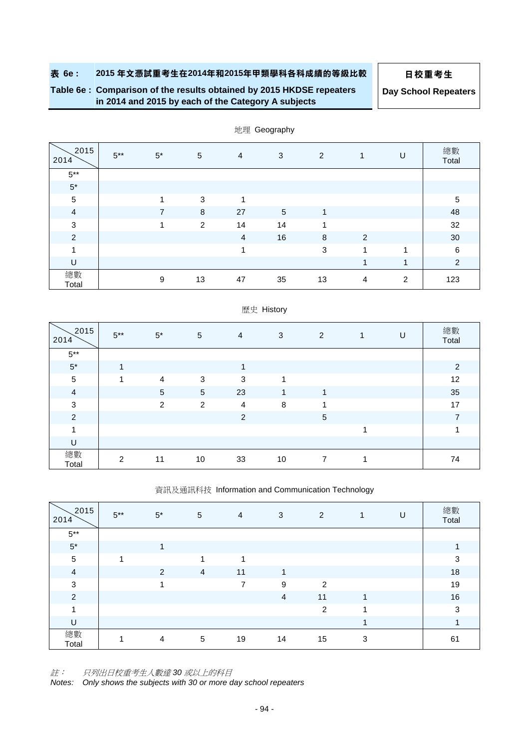# **Table 6e : Comparison of the results obtained by 2015 HKDSE repeaters**

**Day School Repeaters**

**in 2014 and 2015 by each of the Category A subjects**

|                |        |                         |            |                | $\sim$          |              |                |   |                |
|----------------|--------|-------------------------|------------|----------------|-----------------|--------------|----------------|---|----------------|
| 2015<br>2014   | $5***$ | $5^*$                   | $\sqrt{5}$ | $\overline{4}$ | 3               | 2            | 1              | U | 總數<br>Total    |
| $5***$         |        |                         |            |                |                 |              |                |   |                |
| $5^\ast$       |        |                         |            |                |                 |              |                |   |                |
| $\sqrt{5}$     |        | $\overline{\mathbf{A}}$ | 3          |                |                 |              |                |   | 5              |
| $\overline{4}$ |        | 7                       | 8          | 27             | $5\phantom{.0}$ | 4            |                |   | 48             |
| $\mathbf{3}$   |        | 1                       | 2          | 14             | 14              | 4            |                |   | 32             |
| 2              |        |                         |            | $\overline{4}$ | 16              | 8            | $\overline{2}$ |   | 30             |
| 1              |        |                         |            | $\overline{ }$ |                 | $\mathbf{3}$ | 4              | 1 | 6              |
| $\sf U$        |        |                         |            |                |                 |              | 4              | 1 | $\overline{2}$ |
| 總數<br>Total    |        | 9                       | 13         | 47             | 35              | 13           | $\overline{4}$ | 2 | 123            |

地理 Geography

|                |        |                |                |                | 産丈 Filsioly |            |   |   |                |
|----------------|--------|----------------|----------------|----------------|-------------|------------|---|---|----------------|
| 2015<br>2014   | $5***$ | $5^\ast$       | $\sqrt{5}$     | $\overline{4}$ | 3           | 2          | 1 | U | 總數<br>Total    |
| $5***$         |        |                |                |                |             |            |   |   |                |
| $5^\star$      | 1      |                |                | 1              |             |            |   |   | 2              |
| 5              | 1      | $\overline{4}$ | 3              | 3              | 1           |            |   |   | 12             |
| $\overline{4}$ |        | 5              | 5              | 23             | 1           | 1          |   |   | 35             |
| 3              |        | 2              | $\overline{2}$ | $\overline{4}$ | 8           | 1          |   |   | 17             |
| $\overline{2}$ |        |                |                | $\overline{c}$ |             | $\sqrt{5}$ |   |   | $\overline{7}$ |
| 4              |        |                |                |                |             |            | 4 |   | 4              |
| U              |        |                |                |                |             |            |   |   |                |
| 總數<br>Total    | 2      | 11             | 10             | 33             | 10          | 7          | 1 |   | 74             |

# 歷史 History

資訊及通訊科技 Information and Communication Technology

| 2015<br>2014   | $5***$ | $5^*$ | 5 | $\overline{4}$ | 3              | 2              | $\mathbf{1}$ | U | 總數<br>Total |
|----------------|--------|-------|---|----------------|----------------|----------------|--------------|---|-------------|
| $5***$         |        |       |   |                |                |                |              |   |             |
| $5^\star$      |        | 1     |   |                |                |                |              |   | 1           |
| $\sqrt{5}$     | 1      |       | 1 | 1              |                |                |              |   | 3           |
| $\overline{4}$ |        | 2     | 4 | 11             | 1              |                |              |   | 18          |
| $\sqrt{3}$     |        | 1     |   | $\overline{ }$ | 9              | 2              |              |   | 19          |
| $\overline{2}$ |        |       |   |                | $\overline{4}$ | 11             | 1            |   | 16          |
| $\overline{ }$ |        |       |   |                |                | $\overline{2}$ | ٠            |   | 3           |
| $\sf U$        |        |       |   |                |                |                |              |   |             |
| 總數<br>Total    |        | 4     | 5 | 19             | 14             | 15             | 3            |   | 61          |

註: 只列出日校重考生人數達 *30* 或以上的科目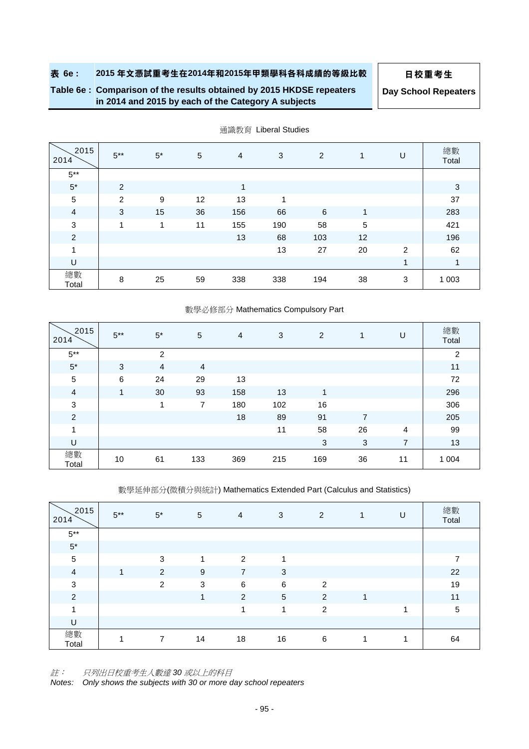# **Table 6e : Comparison of the results obtained by 2015 HKDSE repeaters in 2014 and 2015 by each of the Category A subjects**

**Day School Repeaters**

| 2015<br>2014   | $5***$ | $5^*$ | 5  | $\overline{4}$ | 3   | $\overline{2}$ | $\mathbf{1}$ | U              | 總數<br>Total |
|----------------|--------|-------|----|----------------|-----|----------------|--------------|----------------|-------------|
| $5***$         |        |       |    |                |     |                |              |                |             |
| $5*$           | 2      |       |    | 1              |     |                |              |                | 3           |
| $\sqrt{5}$     | 2      | 9     | 12 | 13             | 1   |                |              |                | 37          |
| $\overline{4}$ | 3      | 15    | 36 | 156            | 66  | 6              | 1            |                | 283         |
| $\mathbf{3}$   | 1      | 1     | 11 | 155            | 190 | 58             | $\sqrt{5}$   |                | 421         |
| $\overline{2}$ |        |       |    | 13             | 68  | 103            | 12           |                | 196         |
| 1              |        |       |    |                | 13  | 27             | 20           | $\overline{2}$ | 62          |
| U              |        |       |    |                |     |                |              | 1              | 1           |
| 總數<br>Total    | 8      | 25    | 59 | 338            | 338 | 194            | 38           | 3              | 1 0 0 3     |

通識教育 Liberal Studies

#### 數學必修部分 Mathematics Compulsory Part

| 2015<br>2014   | $5***$       | $5*$           | 5   | $\overline{4}$ | 3   | 2   | $\mathbf{1}$   | U              | 總數<br>Total |
|----------------|--------------|----------------|-----|----------------|-----|-----|----------------|----------------|-------------|
| $5***$         |              | $\overline{2}$ |     |                |     |     |                |                | 2           |
| $5*$           | 3            | $\overline{4}$ | 4   |                |     |     |                |                | 11          |
| $\mathbf 5$    | 6            | 24             | 29  | 13             |     |     |                |                | 72          |
| $\overline{4}$ | $\mathbf{1}$ | 30             | 93  | 158            | 13  | 1   |                |                | 296         |
| $\sqrt{3}$     |              | 1              | 7   | 180            | 102 | 16  |                |                | 306         |
| $\overline{c}$ |              |                |     | 18             | 89  | 91  | $\overline{7}$ |                | 205         |
| 1              |              |                |     |                | 11  | 58  | 26             | 4              | 99          |
| U              |              |                |     |                |     | 3   | 3              | $\overline{7}$ | 13          |
| 總數<br>Total    | 10           | 61             | 133 | 369            | 215 | 169 | 36             | 11             | 1 0 0 4     |

數學延伸部分(微積分與統計) Mathematics Extended Part (Calculus and Statistics)

| 2015<br>2014   | $5***$ | $5^*$ | 5                       | $\overline{4}$ | 3               | 2              | $\mathbf{1}$ | U | 總數<br>Total    |
|----------------|--------|-------|-------------------------|----------------|-----------------|----------------|--------------|---|----------------|
| $5^{\ast\ast}$ |        |       |                         |                |                 |                |              |   |                |
| $5^\star$      |        |       |                         |                |                 |                |              |   |                |
| $\,$ 5 $\,$    |        | 3     | $\overline{\mathbf{A}}$ | 2              | 1               |                |              |   | $\overline{7}$ |
| $\overline{a}$ | 1      | 2     | 9                       | $\overline{7}$ | 3               |                |              |   | 22             |
| $\sqrt{3}$     |        | 2     | 3                       | 6              | 6               | 2              |              |   | 19             |
| $\overline{2}$ |        |       | 1                       | 2              | $5\phantom{.0}$ | 2              | 1            |   | 11             |
| 1              |        |       |                         | 1              | 1               | $\overline{2}$ |              |   | $\sqrt{5}$     |
| U              |        |       |                         |                |                 |                |              |   |                |
| 總數<br>Total    | 1      | 7     | 14                      | 18             | 16              | 6              | 1            | и | 64             |

註: 只列出日校重考生人數達 *30* 或以上的科目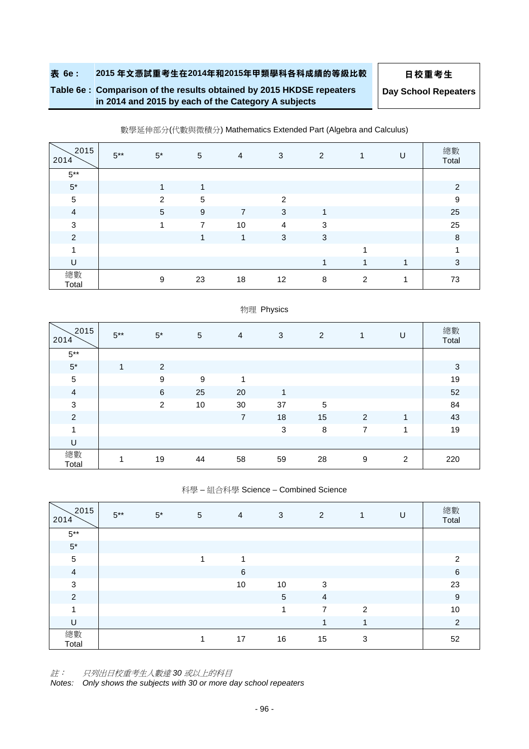# **Table 6e : Comparison of the results obtained by 2015 HKDSE repeaters in 2014 and 2015 by each of the Category A subjects**

**Day School Repeaters**

| 2015<br>2014   | $5***$ | $5^*$          | $\sqrt{5}$ | $\overline{4}$ | 3              | 2 | 1                          | U                       | 總數<br>Total      |
|----------------|--------|----------------|------------|----------------|----------------|---|----------------------------|-------------------------|------------------|
| $5^{\ast\ast}$ |        |                |            |                |                |   |                            |                         |                  |
| $5^\star$      |        | $\overline{ }$ | 1          |                |                |   |                            |                         | 2                |
| $\sqrt{5}$     |        | $\overline{2}$ | 5          |                | 2              |   |                            |                         | $\boldsymbol{9}$ |
| $\overline{4}$ |        | $\sqrt{5}$     | 9          | $\overline{7}$ | 3              | 1 |                            |                         | 25               |
| 3              |        | 4              | 7          | 10             | $\overline{4}$ | 3 |                            |                         | 25               |
| 2              |        |                | 1          | $\mathbf{1}$   | 3              | 3 |                            |                         | 8                |
| 4              |        |                |            |                |                |   |                            |                         | $\overline{ }$   |
| U              |        |                |            |                |                |   | $\boldsymbol{\mathcal{A}}$ | $\overline{\mathbf{A}}$ | 3                |
| 總數<br>Total    |        | 9              | 23         | 18             | 12             | 8 | $\overline{2}$             | и                       | 73               |

#### 數學延伸部分(代數與微積分) Mathematics Extended Part (Algebra and Calculus)

| 2015<br>2014   | $5***$         | $5^*$          | 5  | $\overline{4}$ | 3  | 2  | $\mathbf{1}$ | U | 總數<br>Total |
|----------------|----------------|----------------|----|----------------|----|----|--------------|---|-------------|
| $5***$         |                |                |    |                |    |    |              |   |             |
| $5*$           | $\overline{1}$ | 2              |    |                |    |    |              |   | 3           |
| $\sqrt{5}$     |                | 9              | 9  | 1              |    |    |              |   | 19          |
| $\overline{4}$ |                | 6              | 25 | 20             | 1  |    |              |   | 52          |
| $\mathbf{3}$   |                | $\overline{2}$ | 10 | 30             | 37 | 5  |              |   | 84          |
| $\overline{c}$ |                |                |    | 7              | 18 | 15 | 2            | 1 | 43          |
| 1              |                |                |    |                | 3  | 8  | 7            | 1 | 19          |
| U              |                |                |    |                |    |    |              |   |             |
| 總數<br>Total    | $\mathbf{1}$   | 19             | 44 | 58             | 59 | 28 | 9            | 2 | 220         |

# 物理 Physics

#### 科學 – 組合科學 Science – Combined Science

| 2015<br>2014   | $5***$ | $5*$ | $\overline{5}$ | $\overline{4}$ | 3  | 2              | $\mathbf{1}$   | U | 總數<br>Total    |
|----------------|--------|------|----------------|----------------|----|----------------|----------------|---|----------------|
| $5***$         |        |      |                |                |    |                |                |   |                |
| $5^{\star}$    |        |      |                |                |    |                |                |   |                |
| $\sqrt{5}$     |        |      | 1              | 1              |    |                |                |   | 2              |
| $\overline{4}$ |        |      |                | 6              |    |                |                |   | 6              |
| $\sqrt{3}$     |        |      |                | 10             | 10 | 3              |                |   | 23             |
| $\overline{c}$ |        |      |                |                | 5  | $\overline{4}$ |                |   | $9\,$          |
| 1              |        |      |                |                | 1  | $\overline{7}$ | $\overline{2}$ |   | 10             |
| U              |        |      |                |                |    | 1              | 1              |   | $\overline{2}$ |
| 總數<br>Total    |        |      | 1              | 17             | 16 | 15             | 3              |   | 52             |

註: 只列出日校重考生人數達 *30* 或以上的科目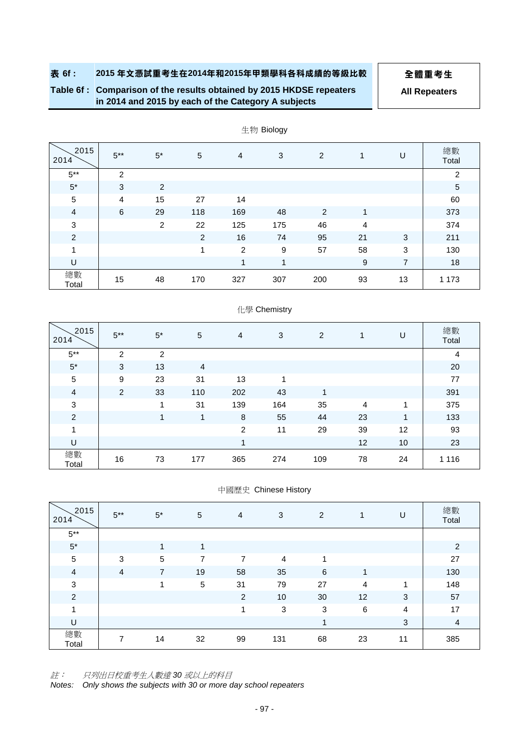**Table 6f : Comparison of the results obtained by 2015 HKDSE repeaters in 2014 and 2015 by each of the Category A subjects**

**All Repeaters**

| 2015<br>2014   | $5***$         | $5*$           | 5   | 4   | 3   | 2              | 1  | U  | 總數<br>Total    |
|----------------|----------------|----------------|-----|-----|-----|----------------|----|----|----------------|
| $5***$         | 2              |                |     |     |     |                |    |    | $\overline{2}$ |
| $5^\star$      | 3              | 2              |     |     |     |                |    |    | $\overline{5}$ |
| $\sqrt{5}$     | $\overline{4}$ | 15             | 27  | 14  |     |                |    |    | 60             |
| $\overline{4}$ | 6              | 29             | 118 | 169 | 48  | $\overline{2}$ | 1  |    | 373            |
| $\mathbf{3}$   |                | $\overline{2}$ | 22  | 125 | 175 | 46             | 4  |    | 374            |
| $\overline{2}$ |                |                | 2   | 16  | 74  | 95             | 21 | 3  | 211            |
| 1              |                |                | 1   | 2   | 9   | 57             | 58 | 3  | 130            |
| U              |                |                |     | 1   | 1   |                | 9  | 7  | 18             |
| 總數<br>Total    | 15             | 48             | 170 | 327 | 307 | 200            | 93 | 13 | 1 1 7 3        |

生物 Biology

#### 化學 Chemistry

| 2015<br>2014   | $5***$         | $5*$ | 5              | 4              | 3   | 2   | 1              | U  | 總數<br>Total |
|----------------|----------------|------|----------------|----------------|-----|-----|----------------|----|-------------|
| $5***$         | $\overline{2}$ | 2    |                |                |     |     |                |    | 4           |
| $5*$           | 3              | 13   | $\overline{4}$ |                |     |     |                |    | 20          |
| $\sqrt{5}$     | 9              | 23   | 31             | 13             | 1   |     |                |    | 77          |
| $\overline{4}$ | 2              | 33   | 110            | 202            | 43  | 1   |                |    | 391         |
| 3              |                | 1    | 31             | 139            | 164 | 35  | $\overline{4}$ | 1  | 375         |
| $\overline{2}$ |                | 1    | 1              | 8              | 55  | 44  | 23             | 1  | 133         |
| 1              |                |      |                | $\overline{2}$ | 11  | 29  | 39             | 12 | 93          |
| U              |                |      |                | 4              |     |     | 12             | 10 | 23          |
| 總數<br>Total    | 16             | 73   | 177            | 365            | 274 | 109 | 78             | 24 | 1 1 1 6     |

#### 中國歷史 Chinese History

| 2015<br>2014   | $5***$         | $5*$           | $\sqrt{5}$ | $\overline{4}$ | 3              | 2            | 1              | U              | 總數<br>Total    |
|----------------|----------------|----------------|------------|----------------|----------------|--------------|----------------|----------------|----------------|
| $5***$         |                |                |            |                |                |              |                |                |                |
| $5*$           |                | 1              | 1          |                |                |              |                |                | 2              |
| 5              | 3              | $\sqrt{5}$     | 7          | 7              | $\overline{4}$ | 1            |                |                | 27             |
| $\overline{a}$ | $\overline{4}$ | $\overline{7}$ | 19         | 58             | 35             | 6            | 1              |                | 130            |
| $\mathbf{3}$   |                | 4              | 5          | 31             | 79             | 27           | $\overline{4}$ | 1              | 148            |
| $\overline{2}$ |                |                |            | 2              | 10             | 30           | 12             | 3              | 57             |
| 1              |                |                |            | 1              | $\sqrt{3}$     | $\mathbf{3}$ | $\,6$          | $\overline{4}$ | 17             |
| U              |                |                |            |                |                | 1            |                | 3              | $\overline{4}$ |
| 總數<br>Total    | 7              | 14             | 32         | 99             | 131            | 68           | 23             | 11             | 385            |

註: 只列出日校重考生人數達 *30* 或以上的科目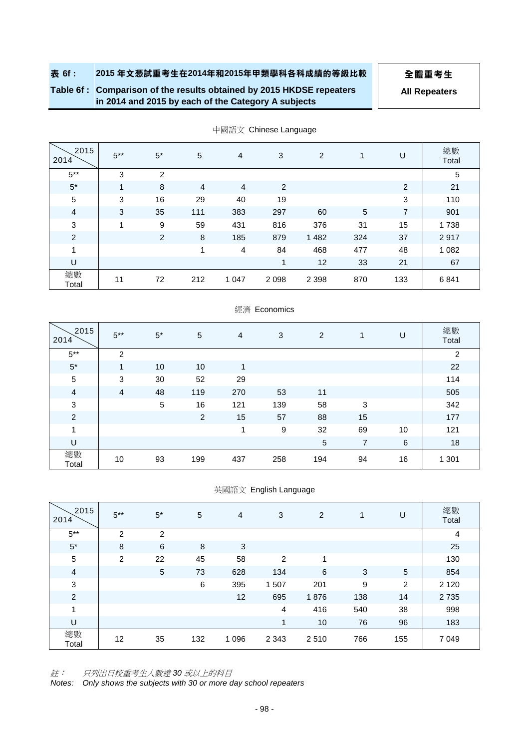**Table 6f : Comparison of the results obtained by 2015 HKDSE repeaters in 2014 and 2015 by each of the Category A subjects**

**All Repeaters**

| 2015<br>2014   | $5***$ | $5*$           | 5              | $\overline{4}$ | 3       | 2       | 1          | U              | 總數<br>Total |
|----------------|--------|----------------|----------------|----------------|---------|---------|------------|----------------|-------------|
| $5***$         | 3      | $\overline{2}$ |                |                |         |         |            |                | 5           |
| $5*$           | 1      | 8              | $\overline{4}$ | $\overline{4}$ | 2       |         |            | 2              | 21          |
| $\sqrt{5}$     | 3      | 16             | 29             | 40             | 19      |         |            | 3              | 110         |
| $\overline{4}$ | 3      | 35             | 111            | 383            | 297     | 60      | $\sqrt{5}$ | $\overline{7}$ | 901         |
| $\sqrt{3}$     | 1      | 9              | 59             | 431            | 816     | 376     | 31         | 15             | 1738        |
| $\overline{2}$ |        | 2              | 8              | 185            | 879     | 1 4 8 2 | 324        | 37             | 2917        |
| 1              |        |                | 1              | 4              | 84      | 468     | 477        | 48             | 1 0 8 2     |
| U              |        |                |                |                | 1       | 12      | 33         | 21             | 67          |
| 總數<br>Total    | 11     | 72             | 212            | 1 0 4 7        | 2 0 9 8 | 2 3 9 8 | 870        | 133            | 6841        |

中國語文 Chinese Language

#### 經濟 Economics

| 2015<br>2014   | $5***$ | $5*$ | 5              | 4   | 3   | 2   | 1              | U  | 總數<br>Total    |
|----------------|--------|------|----------------|-----|-----|-----|----------------|----|----------------|
| $5***$         | 2      |      |                |     |     |     |                |    | $\overline{2}$ |
| $5*$           | 1      | 10   | 10             | 1   |     |     |                |    | 22             |
| $\sqrt{5}$     | 3      | 30   | 52             | 29  |     |     |                |    | 114            |
| $\overline{4}$ | 4      | 48   | 119            | 270 | 53  | 11  |                |    | 505            |
| $\mathbf{3}$   |        | 5    | 16             | 121 | 139 | 58  | 3              |    | 342            |
| $\overline{c}$ |        |      | $\overline{2}$ | 15  | 57  | 88  | 15             |    | 177            |
| 1              |        |      |                | 1   | 9   | 32  | 69             | 10 | 121            |
| U              |        |      |                |     |     | 5   | $\overline{7}$ | 6  | 18             |
| 總數<br>Total    | 10     | 93   | 199            | 437 | 258 | 194 | 94             | 16 | 1 3 0 1        |

#### 英國語文 English Language

| 2015<br>2014   | $5***$ | $5*$           | 5   | 4       | 3              | 2    | 1   | U              | 總數<br>Total |
|----------------|--------|----------------|-----|---------|----------------|------|-----|----------------|-------------|
| $5***$         | 2      | $\overline{2}$ |     |         |                |      |     |                | 4           |
| $5*$           | 8      | 6              | 8   | 3       |                |      |     |                | 25          |
| $\sqrt{5}$     | 2      | 22             | 45  | 58      | 2              | 1    |     |                | 130         |
| $\overline{4}$ |        | $\overline{5}$ | 73  | 628     | 134            | 6    | 3   | $\overline{5}$ | 854         |
| $\mathbf{3}$   |        |                | 6   | 395     | 1507           | 201  | 9   | $\overline{2}$ | 2 1 2 0     |
| $\overline{c}$ |        |                |     | 12      | 695            | 1876 | 138 | 14             | 2735        |
| 1              |        |                |     |         | $\overline{4}$ | 416  | 540 | 38             | 998         |
| U              |        |                |     |         | 1              | 10   | 76  | 96             | 183         |
| 總數<br>Total    | 12     | 35             | 132 | 1 0 9 6 | 2 3 4 3        | 2510 | 766 | 155            | 7 0 4 9     |

註: 只列出日校重考生人數達 *30* 或以上的科目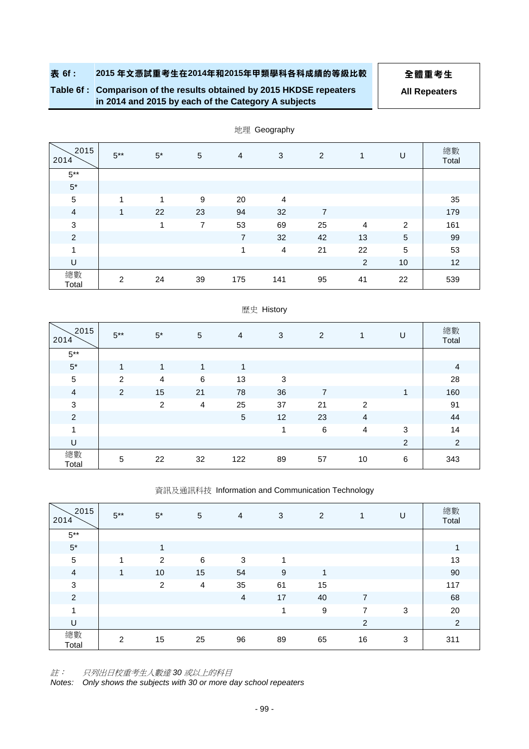**Table 6f : Comparison of the results obtained by 2015 HKDSE repeaters in 2014 and 2015 by each of the Category A subjects**

**All Repeaters**

| 2015<br>2014   | $5***$ | $5^*$ | 5  | 4              | 3              | 2              | 1              | U          | 總數<br>Total |
|----------------|--------|-------|----|----------------|----------------|----------------|----------------|------------|-------------|
| $5***$         |        |       |    |                |                |                |                |            |             |
| $5^\star$      |        |       |    |                |                |                |                |            |             |
| $\,$ 5 $\,$    | 1      | 1     | 9  | 20             | $\overline{4}$ |                |                |            | 35          |
| $\overline{a}$ | 1      | 22    | 23 | 94             | 32             | $\overline{7}$ |                |            | 179         |
| $\mathbf{3}$   |        | 4     | 7  | 53             | 69             | 25             | $\overline{4}$ | 2          | 161         |
| 2              |        |       |    | $\overline{7}$ | 32             | 42             | 13             | $\sqrt{5}$ | 99          |
| 1              |        |       |    | 1              | 4              | 21             | 22             | 5          | 53          |
| U              |        |       |    |                |                |                | $\overline{2}$ | 10         | 12          |
| 總數<br>Total    | 2      | 24    | 39 | 175            | 141            | 95             | 41             | 22         | 539         |

地理 Geography

|                |                |                |                | $-$            |    |         |                |                |                |
|----------------|----------------|----------------|----------------|----------------|----|---------|----------------|----------------|----------------|
| 2015<br>2014   | $5***$         | $5^\ast$       | 5              | $\overline{4}$ | 3  | 2       | 1              | U              | 總數<br>Total    |
| $5***$         |                |                |                |                |    |         |                |                |                |
| $5^\star$      | $\overline{A}$ | 4              | 1              | 4              |    |         |                |                | 4              |
| $\sqrt{5}$     | $\overline{2}$ | $\overline{4}$ | 6              | 13             | 3  |         |                |                | 28             |
| $\overline{4}$ | 2              | 15             | 21             | 78             | 36 | 7       |                | $\mathbf{1}$   | 160            |
| 3              |                | $\overline{c}$ | $\overline{4}$ | 25             | 37 | 21      | $\overline{2}$ |                | 91             |
| 2              |                |                |                | $\sqrt{5}$     | 12 | 23      | 4              |                | 44             |
| 1              |                |                |                |                | 1  | $\,6\,$ | $\overline{4}$ | 3              | 14             |
| U              |                |                |                |                |    |         |                | $\overline{2}$ | $\overline{2}$ |
| 總數<br>Total    | 5              | 22             | 32             | 122            | 89 | 57      | 10             | 6              | 343            |

# 歷史 History

資訊及通訊科技 Information and Communication Technology

| 2015<br>2014   | $5***$       | $5*$           | 5  | 4              | 3  | 2  | 1              | U            | 總數<br>Total    |
|----------------|--------------|----------------|----|----------------|----|----|----------------|--------------|----------------|
| $5^{\ast\ast}$ |              |                |    |                |    |    |                |              |                |
| $5^\star$      |              | 4              |    |                |    |    |                |              | 1              |
| $\sqrt{5}$     | 1            | 2              | 6  | 3              | 1  |    |                |              | 13             |
| $\overline{4}$ | $\mathbf{1}$ | 10             | 15 | 54             | 9  | 1  |                |              | 90             |
| $\mathbf{3}$   |              | $\overline{2}$ | 4  | 35             | 61 | 15 |                |              | 117            |
| $\overline{2}$ |              |                |    | $\overline{a}$ | 17 | 40 | $\overline{7}$ |              | 68             |
| 1              |              |                |    |                | 1  | 9  | 7              | $\mathbf{3}$ | 20             |
| U              |              |                |    |                |    |    | 2              |              | $\overline{2}$ |
| 總數<br>Total    | 2            | 15             | 25 | 96             | 89 | 65 | 16             | 3            | 311            |

註: 只列出日校重考生人數達 *30* 或以上的科目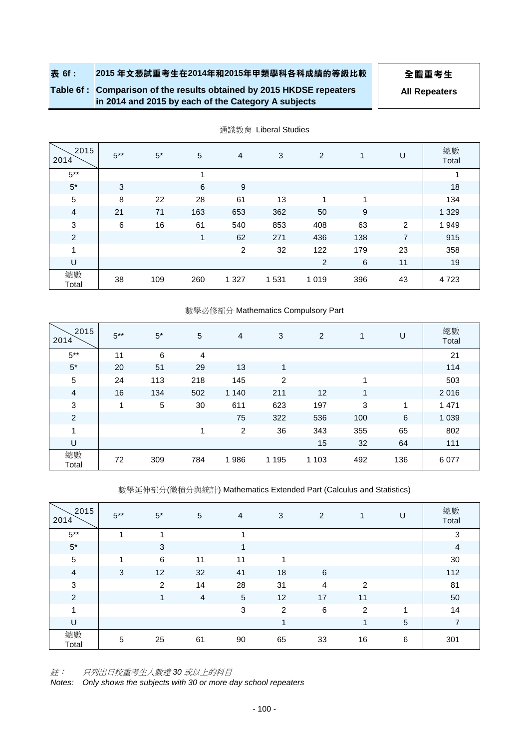**Table 6f : Comparison of the results obtained by 2015 HKDSE repeaters in 2014 and 2015 by each of the Category A subjects**

**All Repeaters**

| 2015<br>2014   | $5***$ | $5*$ | 5           | 4       | 3    | 2       | 1               | U              | 總數<br>Total |
|----------------|--------|------|-------------|---------|------|---------|-----------------|----------------|-------------|
| $5***$         |        |      | 1           |         |      |         |                 |                |             |
| $5*$           | 3      |      | 6           | 9       |      |         |                 |                | 18          |
| 5              | 8      | 22   | 28          | 61      | 13   | 1       | 1               |                | 134         |
| $\overline{4}$ | 21     | 71   | 163         | 653     | 362  | 50      | 9               |                | 1 3 2 9     |
| $\mathbf 3$    | 6      | 16   | 61          | 540     | 853  | 408     | 63              | 2              | 1949        |
| $\overline{2}$ |        |      | $\mathbf 1$ | 62      | 271  | 436     | 138             | $\overline{7}$ | 915         |
| 1              |        |      |             | 2       | 32   | 122     | 179             | 23             | 358         |
| U              |        |      |             |         |      | 2       | $6\phantom{1}6$ | 11             | 19          |
| 總數<br>Total    | 38     | 109  | 260         | 1 3 2 7 | 1531 | 1 0 1 9 | 396             | 43             | 4723        |

通識教育 Liberal Studies

#### 數學必修部分 Mathematics Compulsory Part

| 2015<br>2014   | $5***$ | $5*$ | 5   | 4              | 3              | 2       | $\mathbf{1}$ | U   | 總數<br>Total |
|----------------|--------|------|-----|----------------|----------------|---------|--------------|-----|-------------|
| $5***$         | 11     | 6    | 4   |                |                |         |              |     | 21          |
| $5*$           | 20     | 51   | 29  | 13             | 1              |         |              |     | 114         |
| 5              | 24     | 113  | 218 | 145            | $\overline{2}$ |         | 4            |     | 503         |
| $\overline{4}$ | 16     | 134  | 502 | 1 1 4 0        | 211            | 12      | 1            |     | 2016        |
| 3              | 1      | 5    | 30  | 611            | 623            | 197     | 3            | 1   | 1 4 7 1     |
| $\overline{c}$ |        |      |     | 75             | 322            | 536     | 100          | 6   | 1 0 3 9     |
| $\mathbf{1}$   |        |      | 1   | $\overline{2}$ | 36             | 343     | 355          | 65  | 802         |
| U              |        |      |     |                |                | 15      | 32           | 64  | 111         |
| 總數<br>Total    | 72     | 309  | 784 | 1986           | 1 1 9 5        | 1 1 0 3 | 492          | 136 | 6077        |

數學延伸部分(微積分與統計) Mathematics Extended Part (Calculus and Statistics)

| 2015<br>2014   | $5***$ | $5*$ | 5  | 4          | 3  | 2              |                | U          | 總數<br>Total    |
|----------------|--------|------|----|------------|----|----------------|----------------|------------|----------------|
| $5***$         |        |      |    |            |    |                |                |            | 3              |
| $5*$           |        | 3    |    |            |    |                |                |            | $\overline{4}$ |
| 5              |        | 6    | 11 | 11         |    |                |                |            | 30             |
| $\overline{a}$ | 3      | 12   | 32 | 41         | 18 | 6              |                |            | 112            |
| $\mathbf 3$    |        | 2    | 14 | 28         | 31 | $\overline{4}$ | 2              |            | 81             |
| $\overline{2}$ |        | 1    | 4  | $\sqrt{5}$ | 12 | 17             | 11             |            | 50             |
| и              |        |      |    | 3          | 2  | 6              | $\overline{2}$ | ۸          | 14             |
| U              |        |      |    |            | 4  |                | -4             | $\sqrt{5}$ | $\overline{7}$ |
| 總數<br>Total    | 5      | 25   | 61 | 90         | 65 | 33             | 16             | 6          | 301            |

註: 只列出日校重考生人數達 *30* 或以上的科目